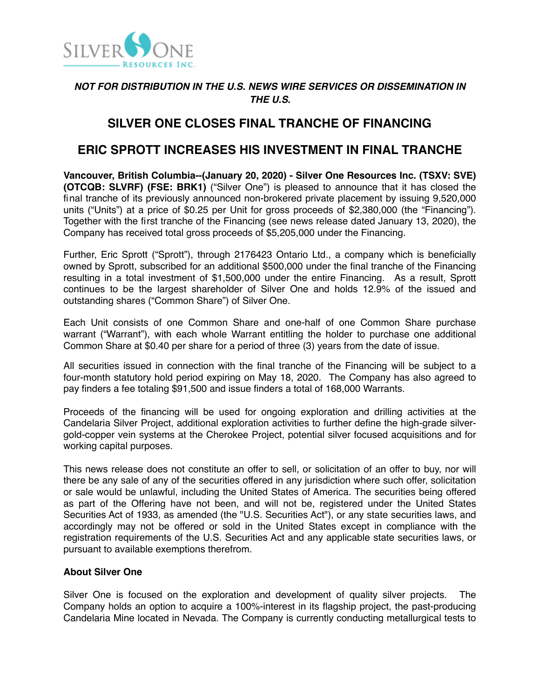

### *NOT FOR DISTRIBUTION IN THE U.S. NEWS WIRE SERVICES OR DISSEMINATION IN THE U.S.*

# **SILVER ONE CLOSES FINAL TRANCHE OF FINANCING**

# **ERIC SPROTT INCREASES HIS INVESTMENT IN FINAL TRANCHE**

**Vancouver, British Columbia--(January 20, 2020) - Silver One Resources Inc. (TSXV: SVE) (OTCQB: SLVRF) (FSE: BRK1)** ("Silver One") is pleased to announce that it has closed the final tranche of its previously announced non-brokered private placement by issuing 9,520,000 units ("Units") at a price of \$0.25 per Unit for gross proceeds of \$2,380,000 (the "Financing"). Together with the first tranche of the Financing (see news release dated January 13, 2020), the Company has received total gross proceeds of \$5,205,000 under the Financing.

Further, Eric Sprott ("Sprott"), through 2176423 Ontario Ltd., a company which is beneficially owned by Sprott, subscribed for an additional \$500,000 under the final tranche of the Financing resulting in a total investment of \$1,500,000 under the entire Financing. As a result, Sprott continues to be the largest shareholder of Silver One and holds 12.9% of the issued and outstanding shares ("Common Share") of Silver One.

Each Unit consists of one Common Share and one-half of one Common Share purchase warrant ("Warrant"), with each whole Warrant entitling the holder to purchase one additional Common Share at \$0.40 per share for a period of three (3) years from the date of issue.

All securities issued in connection with the final tranche of the Financing will be subject to a four-month statutory hold period expiring on May 18, 2020. The Company has also agreed to pay finders a fee totaling \$91,500 and issue finders a total of 168,000 Warrants.

Proceeds of the financing will be used for ongoing exploration and drilling activities at the Candelaria Silver Project, additional exploration activities to further define the high-grade silvergold-copper vein systems at the Cherokee Project, potential silver focused acquisitions and for working capital purposes.

This news release does not constitute an offer to sell, or solicitation of an offer to buy, nor will there be any sale of any of the securities offered in any jurisdiction where such offer, solicitation or sale would be unlawful, including the United States of America. The securities being offered as part of the Offering have not been, and will not be, registered under the United States Securities Act of 1933, as amended (the "U.S. Securities Act"), or any state securities laws, and accordingly may not be offered or sold in the United States except in compliance with the registration requirements of the U.S. Securities Act and any applicable state securities laws, or pursuant to available exemptions therefrom.

### **About Silver One**

Silver One is focused on the exploration and development of quality silver projects. The Company holds an option to acquire a 100%-interest in its flagship project, the past-producing Candelaria Mine located in Nevada. The Company is currently conducting metallurgical tests to